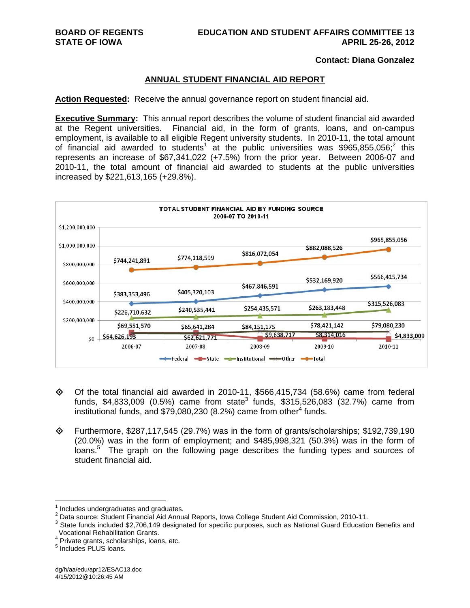## **Contact: Diana Gonzalez**

## **ANNUAL STUDENT FINANCIAL AID REPORT**

**Action Requested:** Receive the annual governance report on student financial aid.

**Executive Summary:** This annual report describes the volume of student financial aid awarded at the Regent universities. Financial aid, in the form of grants, loans, and on-campus employment, is available to all eligible Regent university students. In 2010-11, the total amount of financial aid awarded to students<sup>1</sup> at the public universities was \$965,855,056;<sup>2</sup> this represents an increase of \$67,341,022 (+7.5%) from the prior year. Between 2006-07 and 2010-11, the total amount of financial aid awarded to students at the public universities increased by \$221,613,165 (+29.8%).



- $\diamond$  Of the total financial aid awarded in 2010-11, \$566,415,734 (58.6%) came from federal funds, \$4,833,009 (0.5%) came from state<sup>3</sup> funds, \$315,526,083 (32.7%) came from institutional funds, and \$79,080,230 (8.2%) came from other<sup>4</sup> funds.
- Furthermore, \$287,117,545 (29.7%) was in the form of grants/scholarships; \$192,739,190 (20.0%) was in the form of employment; and \$485,998,321 (50.3%) was in the form of loans.<sup>5</sup> The graph on the following page describes the funding types and sources of student financial aid.

 $\overline{a}$ 

<sup>1</sup> Includes undergraduates and graduates.

 $^2$  Data source: Student Financial Aid Annual Reports, Iowa College Student Aid Commission, 2010-11.<br><sup>3</sup> State funds included \$3,706,440 decisrated for apositio purposes, auch as National Cuard Educatio

<sup>&</sup>lt;sup>3</sup> State funds included \$2,706,149 designated for specific purposes, such as National Guard Education Benefits and Vocational Rehabilitation Grants. 4

Private grants, scholarships, loans, etc.

<sup>&</sup>lt;sup>5</sup> Includes PLUS loans.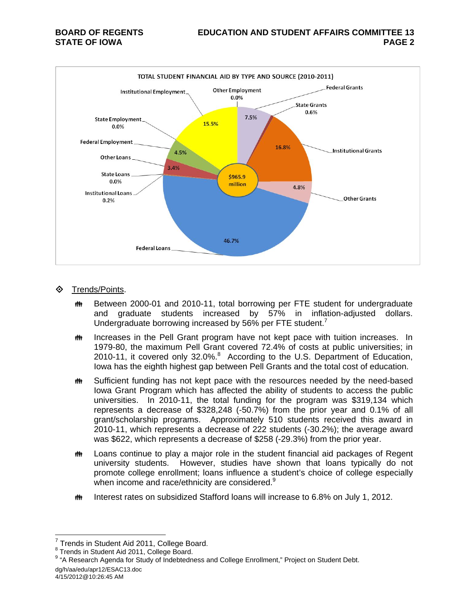

- **♦ Trends/Points.** 
	- **##** Between 2000-01 and 2010-11, total borrowing per FTE student for undergraduate and graduate students increased by 57% in inflation-adjusted dollars. Undergraduate borrowing increased by 56% per FTE student.<sup>7</sup>
	- **ING Increases in the Pell Grant program have not kept pace with tuition increases.** In 1979-80, the maximum Pell Grant covered 72.4% of costs at public universities; in 2010-11, it covered only  $32.0\%$ .<sup>8</sup> According to the U.S. Department of Education, Iowa has the eighth highest gap between Pell Grants and the total cost of education.
	- **##** Sufficient funding has not kept pace with the resources needed by the need-based Iowa Grant Program which has affected the ability of students to access the public universities. In 2010-11, the total funding for the program was \$319,134 which represents a decrease of \$328,248 (-50.7%) from the prior year and 0.1% of all grant/scholarship programs. Approximately 510 students received this award in 2010-11, which represents a decrease of 222 students (-30.2%); the average award was \$622, which represents a decrease of \$258 (-29.3%) from the prior year.
	- **##** Loans continue to play a major role in the student financial aid packages of Regent university students. However, studies have shown that loans typically do not promote college enrollment; loans influence a student's choice of college especially when income and race/ethnicity are considered.<sup>9</sup>
	- **##** Interest rates on subsidized Stafford loans will increase to 6.8% on July 1, 2012.

4/15/2012@10:26:45 AM

 $\overline{a}$ 

<sup>7</sup> Trends in Student Aid 2011, College Board. 8

<sup>&</sup>lt;sup>8</sup> Trends in Student Aid 2011, College Board.

dg/h/aa/edu/apr12/ESAC13.doc <sup>9</sup> "A Research Agenda for Study of Indebtedness and College Enrollment," Project on Student Debt.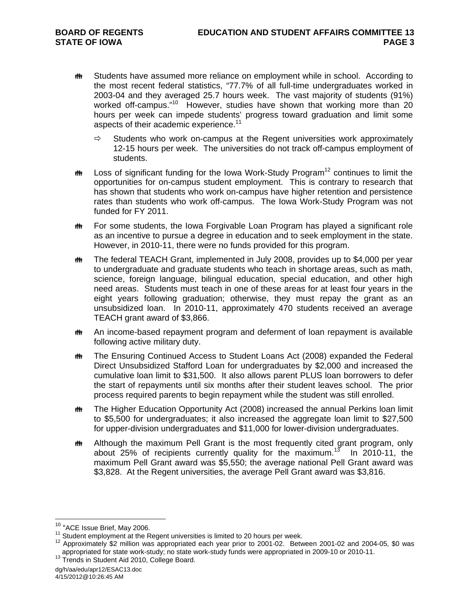- **##** Students have assumed more reliance on employment while in school. According to the most recent federal statistics, "77.7% of all full-time undergraduates worked in 2003-04 and they averaged 25.7 hours week. The vast majority of students (91%) worked off-campus."<sup>10</sup> However, studies have shown that working more than 20 hours per week can impede students' progress toward graduation and limit some aspects of their academic experience.<sup>11</sup>
	- $\Rightarrow$  Students who work on-campus at the Regent universities work approximately 12-15 hours per week. The universities do not track off-campus employment of students.
- $\ddot{\mathbf{m}}$  Loss of significant funding for the Iowa Work-Study Program<sup>12</sup> continues to limit the opportunities for on-campus student employment. This is contrary to research that has shown that students who work on-campus have higher retention and persistence rates than students who work off-campus. The Iowa Work-Study Program was not funded for FY 2011.
- **##** For some students, the Iowa Forgivable Loan Program has played a significant role as an incentive to pursue a degree in education and to seek employment in the state. However, in 2010-11, there were no funds provided for this program.
- **##** The federal TEACH Grant, implemented in July 2008, provides up to \$4,000 per year to undergraduate and graduate students who teach in shortage areas, such as math, science, foreign language, bilingual education, special education, and other high need areas. Students must teach in one of these areas for at least four years in the eight years following graduation; otherwise, they must repay the grant as an unsubsidized loan. In 2010-11, approximately 470 students received an average TEACH grant award of \$3,866.
- **##** An income-based repayment program and deferment of loan repayment is available following active military duty.
- The Ensuring Continued Access to Student Loans Act (2008) expanded the Federal Direct Unsubsidized Stafford Loan for undergraduates by \$2,000 and increased the cumulative loan limit to \$31,500. It also allows parent PLUS loan borrowers to defer the start of repayments until six months after their student leaves school. The prior process required parents to begin repayment while the student was still enrolled.
- **##** The Higher Education Opportunity Act (2008) increased the annual Perkins loan limit to \$5,500 for undergraduates; it also increased the aggregate loan limit to \$27,500 for upper-division undergraduates and \$11,000 for lower-division undergraduates.
- **##** Although the maximum Pell Grant is the most frequently cited grant program, only about 25% of recipients currently quality for the maximum.<sup>13</sup> In 2010-11, the maximum Pell Grant award was \$5,550; the average national Pell Grant award was \$3,828. At the Regent universities, the average Pell Grant award was \$3,816.

<sup>&</sup>lt;sup>10</sup> "ACE Issue Brief, May 2006.

<sup>&</sup>lt;sup>11</sup> Student employment at the Regent universities is limited to 20 hours per week.<br><sup>12</sup> Approximately \$2 million was appropriated each year prior to 2001-02. Between 2001-02 and 2004-05, \$0 was appropriated for state work-study; no state work-study funds were appropriated in 2009-10 or 2010-11.<br><sup>13</sup> Trends in Student Aid 2010, College Board.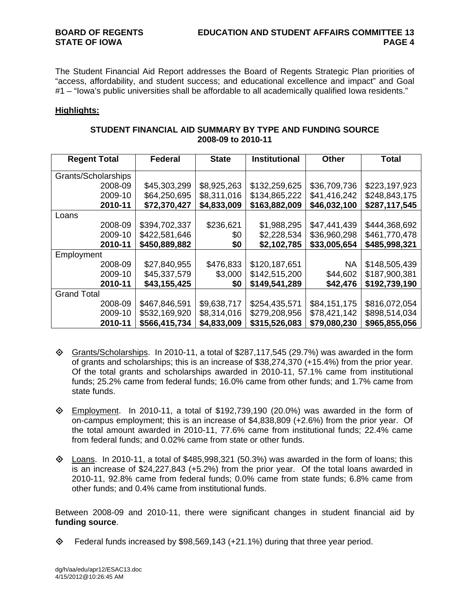The Student Financial Aid Report addresses the Board of Regents Strategic Plan priorities of "access, affordability, and student success; and educational excellence and impact" and Goal #1 – "Iowa's public universities shall be affordable to all academically qualified Iowa residents."

## **Highlights:**

| STUDENT FINANCIAL AID SUMMARY BY TYPE AND FUNDING SOURCE |
|----------------------------------------------------------|
| 2008-09 to 2010-11                                       |

| <b>Regent Total</b> | <b>Federal</b> | <b>State</b> | <b>Institutional</b> | <b>Other</b> | <b>Total</b>  |
|---------------------|----------------|--------------|----------------------|--------------|---------------|
| Grants/Scholarships |                |              |                      |              |               |
| 2008-09             | \$45,303,299   | \$8,925,263  | \$132,259,625        | \$36,709,736 | \$223,197,923 |
| 2009-10             | \$64,250,695   | \$8,311,016  | \$134,865,222        | \$41,416,242 | \$248,843,175 |
| 2010-11             | \$72,370,427   | \$4,833,009  | \$163,882,009        | \$46,032,100 | \$287,117,545 |
| Loans               |                |              |                      |              |               |
| 2008-09             | \$394,702,337  | \$236,621    | \$1,988,295          | \$47,441,439 | \$444,368,692 |
| 2009-10             | \$422,581,646  | \$0          | \$2,228,534          | \$36,960,298 | \$461,770,478 |
| 2010-11             | \$450,889,882  | \$0          | \$2,102,785          | \$33,005,654 | \$485,998,321 |
| Employment          |                |              |                      |              |               |
| 2008-09             | \$27,840,955   | \$476,833    | \$120,187,651        | <b>NA</b>    | \$148,505,439 |
| 2009-10             | \$45,337,579   | \$3,000      | \$142,515,200        | \$44,602     | \$187,900,381 |
| 2010-11             | \$43,155,425   | \$0          | \$149,541,289        | \$42,476     | \$192,739,190 |
| <b>Grand Total</b>  |                |              |                      |              |               |
| 2008-09             | \$467,846,591  | \$9,638,717  | \$254,435,571        | \$84,151,175 | \$816,072,054 |
| 2009-10             | \$532,169,920  | \$8,314,016  | \$279,208,956        | \$78,421,142 | \$898,514,034 |
| 2010-11             | \$566,415,734  | \$4,833,009  | \$315,526,083        | \$79,080,230 | \$965,855,056 |

- $\diamond$  Grants/Scholarships. In 2010-11, a total of \$287,117,545 (29.7%) was awarded in the form of grants and scholarships; this is an increase of \$38,274,370 (+15.4%) from the prior year. Of the total grants and scholarships awarded in 2010-11, 57.1% came from institutional funds; 25.2% came from federal funds; 16.0% came from other funds; and 1.7% came from state funds.
- $\diamond$  Employment. In 2010-11, a total of \$192,739,190 (20.0%) was awarded in the form of on-campus employment; this is an increase of \$4,838,809 (+2.6%) from the prior year. Of the total amount awarded in 2010-11, 77.6% came from institutional funds; 22.4% came from federal funds; and 0.02% came from state or other funds.
- $\diamond$  Loans. In 2010-11, a total of \$485,998,321 (50.3%) was awarded in the form of loans; this is an increase of \$24,227,843 (+5.2%) from the prior year. Of the total loans awarded in 2010-11, 92.8% came from federal funds; 0.0% came from state funds; 6.8% came from other funds; and 0.4% came from institutional funds.

Between 2008-09 and 2010-11, there were significant changes in student financial aid by **funding source**.

 $\diamond$  Federal funds increased by \$98,569,143 (+21.1%) during that three year period.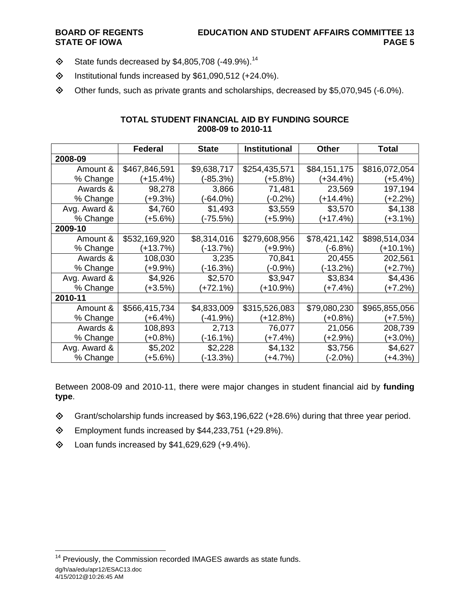- $\textcircled{}$  State funds decreased by \$4,805,708 (-49.9%).<sup>14</sup>
- $\diamond$  Institutional funds increased by \$61,090,512 (+24.0%).
- Other funds, such as private grants and scholarships, decreased by \$5,070,945 (-6.0%).

|              | <b>Federal</b> | <b>State</b> | <b>Institutional</b> | <b>Other</b> | <b>Total</b>  |
|--------------|----------------|--------------|----------------------|--------------|---------------|
| 2008-09      |                |              |                      |              |               |
| Amount &     | \$467,846,591  | \$9,638,717  | \$254,435,571        | \$84,151,175 | \$816,072,054 |
| % Change     | (+15.4%)       | (-85.3%)     | (+5.8%)              | (+34.4%)     | (+5.4%)       |
| Awards &     | 98,278         | 3,866        | 71,481               | 23,569       | 197,194       |
| % Change     | (+9.3%)        | (-64.0%)     | (-0.2%)              | (+14.4%)     | (+2.2%)       |
| Avg. Award & | \$4,760        | \$1,493      | \$3,559              | \$3,570      | \$4,138       |
| % Change     | $+5.6%$        | (-75.5%)     | (+5.9%)              | (+17.4%)     | (+3.1%)       |
| 2009-10      |                |              |                      |              |               |
| Amount &     | \$532,169,920  | \$8,314,016  | \$279,608,956        | \$78,421,142 | \$898,514,034 |
| % Change     | $(+13.7%)$     | (-13.7%)     | (+9.9%)              | $(-6.8%)$    | $(+10.1%)$    |
| Awards &     | 108,030        | 3,235        | 70,841               | 20,455       | 202,561       |
| % Change     | (+9.9%)        | (-16.3%)     | (-0.9%)              | (-13.2%)     | (+2.7%)       |
| Avg. Award & | \$4,926        | \$2,570      | \$3,947              | \$3,834      | \$4,436       |
| % Change     | (+3.5%)        | (+72.1%)     | (+10.9%)             | (+7.4%)      | (+7.2%)       |
| 2010-11      |                |              |                      |              |               |
| Amount &     | \$566,415,734  | \$4,833,009  | \$315,526,083        | \$79,080,230 | \$965,855,056 |
| % Change     | (+6.4%)        | (-41.9%)     | (+12.8%)             | (+0.8%)      | (+7.5%)       |
| Awards &     | 108,893        | 2,713        | 76,077               | 21,056       | 208,739       |
| % Change     | (+0.8%)        | (-16.1%)     | (+7.4%)              | (+2.9%)      | (+3.0%)       |
| Avg. Award & | \$5,202        | \$2,228      | \$4,132              | \$3,756      | \$4,627       |
| % Change     | $+5.6%$        | (-13.3%)     | $(+4.7%)$            | $(-2.0\%)$   | (+4.3%)       |

## **TOTAL STUDENT FINANCIAL AID BY FUNDING SOURCE 2008-09 to 2010-11**

Between 2008-09 and 2010-11, there were major changes in student financial aid by **funding type**.

- Grant/scholarship funds increased by \$63,196,622 (+28.6%) during that three year period.
- Employment funds increased by \$44,233,751 (+29.8%).
- $\textcircled{4}$  Loan funds increased by \$41,629,629 (+9.4%).

dg/h/aa/edu/apr12/ESAC13.doc

 $\overline{a}$ <sup>14</sup> Previously, the Commission recorded IMAGES awards as state funds.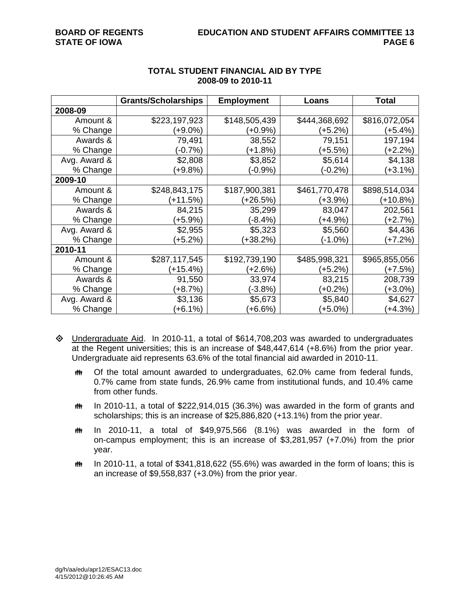|              | <b>Grants/Scholarships</b> | <b>Employment</b> | Loans         | <b>Total</b>  |
|--------------|----------------------------|-------------------|---------------|---------------|
| 2008-09      |                            |                   |               |               |
| Amount &     | \$223,197,923              | \$148,505,439     | \$444,368,692 | \$816,072,054 |
| % Change     | $(+9.0\%)$                 | (+0.9%)           | (+5.2%)       | $(+5.4%)$     |
| Awards &     | 79,491                     | 38,552            | 79,151        | 197,194       |
| % Change     | $(-0.7%)$                  | $(+1.8%)$         | (+5.5%)       | (+2.2%)       |
| Avg. Award & | \$2,808                    | \$3,852           | \$5,614       | \$4,138       |
| % Change     | $+9.8%$                    | $(-0.9\%)$        | $(-0.2\%)$    | $(+3.1%)$     |
| 2009-10      |                            |                   |               |               |
| Amount &     | \$248,843,175              | \$187,900,381     | \$461,770,478 | \$898,514,034 |
| % Change     | (+11.5%)                   | (+26.5%)          | (+3.9%)       | $(+10.8%)$    |
| Awards &     | 84,215                     | 35,299            | 83,047        | 202,561       |
| % Change     | $(+5.9\%)$                 | (-8.4%)           | (+4.9%)       | $(+2.7%)$     |
| Avg. Award & | \$2,955                    | \$5,323           | \$5,560       | \$4,436       |
| % Change     | $(+5.2%)$                  | (+38.2%)          | (-1.0%)       | (+7.2%)       |
| 2010-11      |                            |                   |               |               |
| Amount &     | \$287,117,545              | \$192,739,190     | \$485,998,321 | \$965,855,056 |
| % Change     | $(+15.4%)$                 | (+2.6%)           | (+5.2%)       | (+7.5%)       |
| Awards &     | 91,550                     | 33,974            | 83,215        | 208,739       |
| % Change     | $+8.7%$                    | $(-3.8%)$         | $(+0.2\%)$    | (+3.0%)       |
| Avg. Award & | \$3,136                    | \$5,673           | \$5,840       | \$4,627       |
| % Change     | $+6.1%$                    | $+6.6%$           | $(+5.0\%)$    | $(+4.3%)$     |

## **TOTAL STUDENT FINANCIAL AID BY TYPE 2008-09 to 2010-11**

- $\Diamond$  Undergraduate Aid. In 2010-11, a total of \$614,708,203 was awarded to undergraduates at the Regent universities; this is an increase of \$48,447,614 (+8.6%) from the prior year. Undergraduate aid represents 63.6% of the total financial aid awarded in 2010-11.
	- **##** Of the total amount awarded to undergraduates, 62.0% came from federal funds, 0.7% came from state funds, 26.9% came from institutional funds, and 10.4% came from other funds.
	- $m$  In 2010-11, a total of \$222,914,015 (36.3%) was awarded in the form of grants and scholarships; this is an increase of \$25,886,820 (+13.1%) from the prior year.
	- $m$  In 2010-11, a total of \$49,975,566 (8.1%) was awarded in the form of on-campus employment; this is an increase of \$3,281,957 (+7.0%) from the prior year.
	- $m$  In 2010-11, a total of \$341,818,622 (55.6%) was awarded in the form of loans; this is an increase of \$9,558,837 (+3.0%) from the prior year.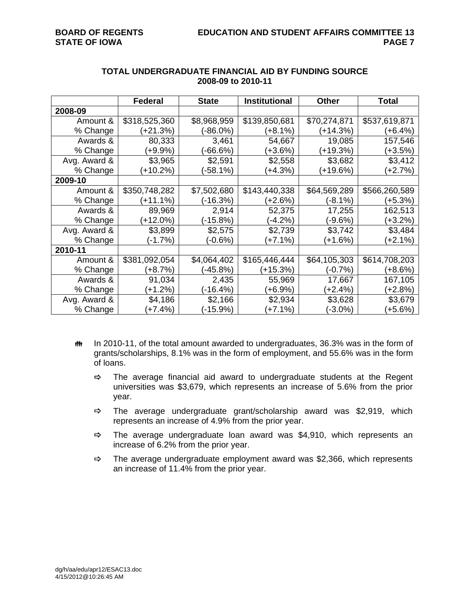|              | <b>Federal</b> | <b>State</b> | <b>Institutional</b> | <b>Other</b> | Total         |
|--------------|----------------|--------------|----------------------|--------------|---------------|
| 2008-09      |                |              |                      |              |               |
| Amount &     | \$318,525,360  | \$8,968,959  | \$139,850,681        | \$70,274,871 | \$537,619,871 |
| % Change     | (+21.3%)       | (-86.0%)     | (+8.1%)              | $(+14.3%)$   | (+6.4%)       |
| Awards &     | 80,333         | 3,461        | 54,667               | 19,085       | 157,546       |
| % Change     | $(+9.9\%)$     | $-66.6%$     | (+3.6%)              | (+19.3%)     | (+3.5%)       |
| Avg. Award & | \$3,965        | \$2,591      | \$2,558              | \$3,682      | \$3,412       |
| % Change     | $(+10.2%)$     | (-58.1%)     | $(+4.3%)$            | (+19.6%)     | (+2.7%)       |
| 2009-10      |                |              |                      |              |               |
| Amount &     | \$350,748,282  | \$7,502,680  | \$143,440,338        | \$64,569,289 | \$566,260,589 |
| % Change     | (+11.1%)       | (-16.3%)     | (+2.6%)              | (-8.1%)      | (+5.3%)       |
| Awards &     | 89,969         | 2,914        | 52,375               | 17,255       | 162,513       |
| % Change     | (+12.0%)       | (-15.8%)     | (-4.2%)              | (-9.6%)      | (+3.2%)       |
| Avg. Award & | \$3,899        | \$2,575      | \$2,739              | \$3,742      | \$3,484       |
| % Change     | (-1.7%)        | (-0.6%)      | $(+7.1%)$            | $(+1.6%)$    | $(+2.1%)$     |
| 2010-11      |                |              |                      |              |               |
| Amount &     | \$381,092,054  | \$4,064,402  | \$165,446,444        | \$64,105,303 | \$614,708,203 |
| % Change     | $(+8.7%)$      | $(-45.8%)$   | $(+15.3%)$           | $(-0.7%)$    | (+8.6%)       |
| Awards &     | 91,034         | 2,435        | 55,969               | 17,667       | 167,105       |
| % Change     | $(+1.2%)$      | (-16.4%)     | (+6.9%)              | (+2.4%)      | (+2.8%)       |
| Avg. Award & | \$4,186        | \$2,166      | \$2,934              | \$3,628      | \$3,679       |
| % Change     | $(+7.4%)$      | $(-15.9%)$   | $(+7.1%)$            | $(-3.0\%)$   | $+5.6%$       |

## **TOTAL UNDERGRADUATE FINANCIAL AID BY FUNDING SOURCE 2008-09 to 2010-11**

- **##** In 2010-11, of the total amount awarded to undergraduates, 36.3% was in the form of grants/scholarships, 8.1% was in the form of employment, and 55.6% was in the form of loans.
	- $\Rightarrow$  The average financial aid award to undergraduate students at the Regent universities was \$3,679, which represents an increase of 5.6% from the prior year.
	- $\Rightarrow$  The average undergraduate grant/scholarship award was \$2,919, which represents an increase of 4.9% from the prior year.
	- $\Rightarrow$  The average undergraduate loan award was \$4,910, which represents an increase of 6.2% from the prior year.
	- $\Rightarrow$  The average undergraduate employment award was \$2,366, which represents an increase of 11.4% from the prior year.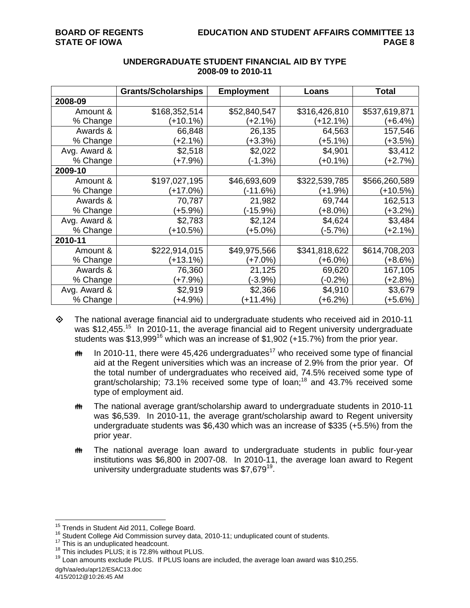|              | <b>Grants/Scholarships</b> | <b>Employment</b> | Loans         | Total         |
|--------------|----------------------------|-------------------|---------------|---------------|
| 2008-09      |                            |                   |               |               |
| Amount &     | \$168,352,514              | \$52,840,547      | \$316,426,810 | \$537,619,871 |
| % Change     | $(+10.1%)$                 | $(+2.1%)$         | $(+12.1%)$    | (+6.4%)       |
| Awards &     | 66,848                     | 26,135            | 64,563        | 157,546       |
| % Change     | $(+2.1%)$                  | $(+3.3%)$         | (+5.1%)       | $(+3.5%)$     |
| Avg. Award & | \$2,518                    | \$2,022           | \$4,901       | \$3,412       |
| % Change     | $(+7.9\%)$                 | $(-1.3%)$         | $(+0.1\%)$    | (+2.7%)       |
| 2009-10      |                            |                   |               |               |
| Amount &     | \$197,027,195              | \$46,693,609      | \$322,539,785 | \$566,260,589 |
| % Change     | (+17.0%)                   | $(-11.6%)$        | (+1.9%)       | $(+10.5%)$    |
| Awards &     | 70,787                     | 21,982            | 69,744        | 162,513       |
| % Change     | $+5.9%$                    | (-15.9%)          | $(+8.0\%)$    | (+3.2%)       |
| Avg. Award & | \$2,783                    | \$2,124           | \$4,624       | \$3,484       |
| % Change     | $(+10.5%)$                 | $(+5.0\%)$        | $(-5.7%)$     | $(+2.1%)$     |
| 2010-11      |                            |                   |               |               |
| Amount &     | \$222,914,015              | \$49,975,566      | \$341,818,622 | \$614,708,203 |
| % Change     | (+13.1%)                   | (+7.0%)           | (+6.0%)       | (+8.6%)       |
| Awards &     | 76,360                     | 21,125            | 69,620        | 167,105       |
| % Change     | $(+7.9\%)$                 | (-3.9%)           | (-0.2%)       | (+2.8%)       |
| Avg. Award & | \$2,919                    | \$2,366           | \$4,910       | \$3,679       |
| % Change     | $(+4.9%)$                  | $(+11.4%)$        | $(+6.2%)$     | $+5.6%$       |

# **UNDERGRADUATE STUDENT FINANCIAL AID BY TYPE 2008-09 to 2010-11**

 $\diamond$  The national average financial aid to undergraduate students who received aid in 2010-11 was \$12,455.<sup>15</sup> In 2010-11, the average financial aid to Regent university undergraduate students was \$13,999<sup>16</sup> which was an increase of \$1,902 (+15.7%) from the prior year.

- **IN 10.** In 2010-11, there were 45,426 undergraduates<sup>17</sup> who received some type of financial aid at the Regent universities which was an increase of 2.9% from the prior year. Of the total number of undergraduates who received aid, 74.5% received some type of grant/scholarship; 73.1% received some type of loan;<sup>18</sup> and 43.7% received some type of employment aid.
- **##** The national average grant/scholarship award to undergraduate students in 2010-11 was \$6,539. In 2010-11, the average grant/scholarship award to Regent university undergraduate students was \$6,430 which was an increase of \$335 (+5.5%) from the prior year.
- The national average loan award to undergraduate students in public four-year institutions was \$6,800 in 2007-08. In 2010-11, the average loan award to Regent university undergraduate students was  $$7,679^{19}$ .

<sup>&</sup>lt;sup>15</sup> Trends in Student Aid 2011, College Board.

<sup>&</sup>lt;sup>16</sup> Student College Aid Commission survey data, 2010-11; unduplicated count of students.<br><sup>17</sup> This is an unduplicated headcount.<br><sup>18</sup> This includes PLUS; it is 72.8% without PLUS.<br><sup>18</sup> Loan amounts exclude PLUS. If PLUS

dg/h/aa/edu/apr12/ESAC13.doc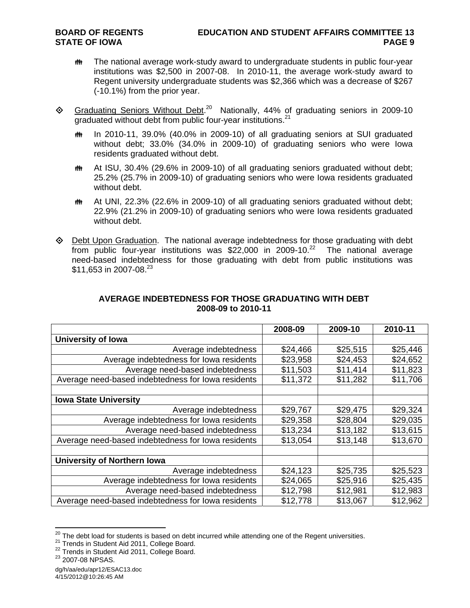- **##** The national average work-study award to undergraduate students in public four-year institutions was \$2,500 in 2007-08. In 2010-11, the average work-study award to Regent university undergraduate students was \$2,366 which was a decrease of \$267 (-10.1%) from the prior year.
- $\Diamond$  Graduating Seniors Without Debt.<sup>20</sup> Nationally, 44% of graduating seniors in 2009-10 graduated without debt from public four-year institutions.<sup>21</sup>
	- th In 2010-11, 39.0% (40.0% in 2009-10) of all graduating seniors at SUI graduated without debt; 33.0% (34.0% in 2009-10) of graduating seniors who were Iowa residents graduated without debt.
	- At ISU, 30.4% (29.6% in 2009-10) of all graduating seniors graduated without debt; 25.2% (25.7% in 2009-10) of graduating seniors who were Iowa residents graduated without debt.
	- At UNI, 22.3% (22.6% in 2009-10) of all graduating seniors graduated without debt; 22.9% (21.2% in 2009-10) of graduating seniors who were Iowa residents graduated without debt.
- Debt Upon Graduation. The national average indebtedness for those graduating with debt from public four-year institutions was  $$22,000$  in 2009-10.<sup>22</sup> The national average need-based indebtedness for those graduating with debt from public institutions was \$11,653 in 2007-08.<sup>23</sup>

|                                                    | 2008-09  | 2009-10  | 2010-11  |
|----------------------------------------------------|----------|----------|----------|
| <b>University of lowa</b>                          |          |          |          |
| Average indebtedness                               | \$24,466 | \$25,515 | \$25,446 |
| Average indebtedness for lowa residents            | \$23,958 | \$24,453 | \$24,652 |
| Average need-based indebtedness                    | \$11,503 | \$11,414 | \$11,823 |
| Average need-based indebtedness for lowa residents | \$11,372 | \$11,282 | \$11,706 |
|                                                    |          |          |          |
| <b>Iowa State University</b>                       |          |          |          |
| Average indebtedness                               | \$29,767 | \$29,475 | \$29,324 |
| Average indebtedness for lowa residents            | \$29,358 | \$28,804 | \$29,035 |
| Average need-based indebtedness                    | \$13,234 | \$13,182 | \$13,615 |
| Average need-based indebtedness for lowa residents | \$13,054 | \$13,148 | \$13,670 |
|                                                    |          |          |          |
| <b>University of Northern Iowa</b>                 |          |          |          |
| Average indebtedness                               | \$24,123 | \$25,735 | \$25,523 |
| Average indebtedness for lowa residents            | \$24,065 | \$25,916 | \$25,435 |
| Average need-based indebtedness                    | \$12,798 | \$12,981 | \$12,983 |
| Average need-based indebtedness for lowa residents | \$12,778 | \$13,067 | \$12,962 |

## **AVERAGE INDEBTEDNESS FOR THOSE GRADUATING WITH DEBT 2008-09 to 2010-11**

 $\overline{a}$ 

dg/h/aa/edu/apr12/ESAC13.doc 4/15/2012@10:26:45 AM

<sup>&</sup>lt;sup>20</sup> The debt load for students is based on debt incurred while attending one of the Regent universities.<br><sup>21</sup> Trends in Student Aid 2011, College Board.<br><sup>22</sup> Trends in Student Aid 2011, College Board.<br><sup>23</sup> 2007-08 NPSAS.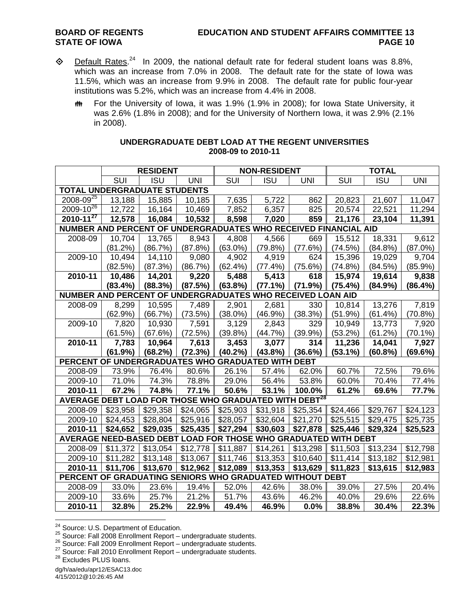- $\textcircled{}$  Default Rates.<sup>24</sup> In 2009, the national default rate for federal student loans was 8.8%, which was an increase from 7.0% in 2008. The default rate for the state of Iowa was 11.5%, which was an increase from 9.9% in 2008. The default rate for public four-year institutions was 5.2%, which was an increase from 4.4% in 2008.
	- **## For the University of Iowa, it was 1.9% (1.9% in 2008); for Iowa State University, it** was 2.6% (1.8% in 2008); and for the University of Northern Iowa, it was 2.9% (2.1% in 2008).

|                                                                   |            | <b>RESIDENT</b> |            |                         | <b>NON-RESIDENT</b> |            |            | <b>TOTAL</b> |            |
|-------------------------------------------------------------------|------------|-----------------|------------|-------------------------|---------------------|------------|------------|--------------|------------|
|                                                                   | SUI        | <b>ISU</b>      | <b>UNI</b> | $\overline{\text{SUI}}$ | <b>ISU</b>          | <b>UNI</b> | SUI        | <b>ISU</b>   | <b>UNI</b> |
| <b>TOTAL UNDERGRADUATE STUDENTS</b>                               |            |                 |            |                         |                     |            |            |              |            |
| $2008 - 09^{25}$                                                  | 13,188     | 15,885          | 10,185     | 7,635                   | 5,722               | 862        | 20,823     | 21,607       | 11,047     |
| $2009 - 10^{26}$                                                  | 12,722     | 16,164          | 10,469     | 7,852                   | 6,357               | 825        | 20,574     | 22,521       | 11,294     |
| $2010 - 11^{27}$                                                  | 12,578     | 16,084          | 10,532     | 8,598                   | 7,020               | 859        | 21,176     | 23,104       | 11,391     |
| NUMBER AND PERCENT OF UNDERGRADUATES WHO RECEIVED FINANCIAL AID   |            |                 |            |                         |                     |            |            |              |            |
| 2008-09                                                           | 10,704     | 13,765          | 8,943      | 4,808                   | 4,566               | 669        | 15,512     | 18,331       | 9,612      |
|                                                                   | (81.2%)    | (86.7%)         | (87.8%)    | $(63.0\%)$              | (79.8%)             | (77.6%)    | (74.5%)    | (84.8%)      | $(87.0\%)$ |
| 2009-10                                                           | 10,494     | 14,110          | 9,080      | 4,902                   | 4,919               | 624        | 15,396     | 19,029       | 9,704      |
|                                                                   | (82.5%)    | (87.3%)         | (86.7%)    | $(62.4\%)$              | (77.4%)             | (75.6%)    | (74.8%)    | (84.5%)      | $(85.9\%)$ |
| 2010-11                                                           | 10,486     | 14,201          | 9,220      | 5,488                   | 5,413               | 618        | 15,974     | 19,614       | 9,838      |
|                                                                   | $(83.4\%)$ | (88.3%)         | (87.5%)    | (63.8%)                 | (77.1%)             | (71.9%)    | (75.4%)    | (84.9%)      | (86.4%)    |
| NUMBER AND PERCENT OF UNDERGRADUATES WHO RECEIVED LOAN AID        |            |                 |            |                         |                     |            |            |              |            |
| 2008-09                                                           | 8,299      | 10,595          | 7,489      | 2,901                   | 2,681               | 330        | 10,814     | 13,276       | 7,819      |
|                                                                   | (62.9%)    | (66.7%)         | (73.5%)    | $(38.0\%)$              | $(46.9\%)$          | (38.3%)    | (51.9%)    | $(61.4\%)$   | (70.8%)    |
| 2009-10                                                           | 7,820      | 10,930          | 7,591      | 3,129                   | 2,843               | 329        | 10,949     | 13,773       | 7,920      |
|                                                                   | (61.5%)    | (67.6%)         | (72.5%)    | (39.8%)                 | (44.7%)             | (39.9%)    | (53.2%)    | (61.2%)      | $(70.1\%)$ |
| 2010-11                                                           | 7,783      | 10,964          | 7,613      | 3,453                   | 3,077               | 314        | 11,236     | 14,041       | 7,927      |
|                                                                   | (61.9%)    | (68.2%)         | (72.3%)    | $(40.2\%)$              | (43.8%)             | (36.6%)    | $(53.1\%)$ | (60.8%)      | (69.6%)    |
| PERCENT OF UNDERGRADUATES WHO GRADUATED WITH DEBT                 |            |                 |            |                         |                     |            |            |              |            |
| 2008-09                                                           | 73.9%      | 76.4%           | 80.6%      | 26.1%                   | 57.4%               | 62.0%      | 60.7%      | 72.5%        | 79.6%      |
| 2009-10                                                           | 71.0%      | 74.3%           | 78.8%      | 29.0%                   | 56.4%               | 53.8%      | 60.0%      | 70.4%        | 77.4%      |
| 2010-11                                                           | 67.2%      | 74.8%           | 77.1%      | 50.6%                   | 53.1%               | 100.0%     | 61.2%      | 69.6%        | 77.7%      |
| AVERAGE DEBT LOAD FOR THOSE WHO GRADUATED WITH DEBT <sup>28</sup> |            |                 |            |                         |                     |            |            |              |            |
| 2008-09                                                           | \$23,958   | \$29,358        | \$24,065   | \$25,903                | \$31,918            | \$25,354   | \$24,466   | \$29,767     | \$24,123   |
| 2009-10                                                           | \$24,453   | \$28,804        | \$25,916   | \$28,057                | \$32,604            | \$21,270   | \$25,515   | \$29,475     | \$25,735   |
| 2010-11                                                           | \$24,652   | \$29,035        | \$25,435   | \$27,294                | \$30,603            | \$27,878   | \$25,446   | \$29,324     | \$25,523   |
| AVERAGE NEED-BASED DEBT LOAD FOR THOSE WHO GRADUATED WITH DEBT    |            |                 |            |                         |                     |            |            |              |            |
| 2008-09                                                           | \$11,372   | \$13,054        | \$12,778   | \$11,887                | \$14,261            | \$13,298   | \$11,503   | \$13,234     | \$12,798   |
| 2009-10                                                           | \$11,282   | \$13,148        | \$13,067   | \$11,746                | \$13,353            | \$10,640   | \$11,414   | \$13,182     | \$12,981   |
| 2010-11                                                           | \$11,706   | \$13,670        | \$12,962   | \$12,089                | \$13,353            | \$13,629   | \$11,823   | \$13,615     | \$12,983   |
| PERCENT OF GRADUATING SENIORS WHO GRADUATED WITHOUT DEBT          |            |                 |            |                         |                     |            |            |              |            |
| 2008-09                                                           | 33.0%      | 23.6%           | 19.4%      | 52.0%                   | 42.6%               | 38.0%      | 39.0%      | 27.5%        | 20.4%      |
| 2009-10                                                           | 33.6%      | 25.7%           | 21.2%      | 51.7%                   | 43.6%               | 46.2%      | 40.0%      | 29.6%        | 22.6%      |
| 2010-11                                                           | 32.8%      | 25.2%           | 22.9%      | 49.4%                   | 46.9%               | 0.0%       | 38.8%      | 30.4%        | 22.3%      |

### **UNDERGRADUATE DEBT LOAD AT THE REGENT UNIVERSITIES 2008-09 to 2010-11**

<sup>&</sup>lt;sup>24</sup> Source: U.S. Department of Education.

<sup>25</sup> Source: Fall 2008 Enrollment Report – undergraduate students.<br>
26 Source: Fall 2009 Enrollment Report – undergraduate students.<br>
27 Source: Fall 2010 Enrollment Report – undergraduate students.<br>
28 Excludes PLUS Ioans.

dg/h/aa/edu/apr12/ESAC13.doc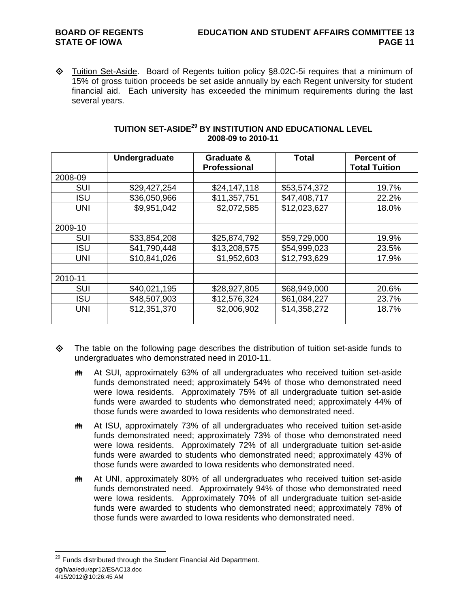♦ Tuition Set-Aside. Board of Regents tuition policy §8.02C-5i requires that a minimum of 15% of gross tuition proceeds be set aside annually by each Regent university for student financial aid. Each university has exceeded the minimum requirements during the last several years.

|            | Undergraduate | Graduate &<br><b>Professional</b> | <b>Total</b> | <b>Percent of</b><br><b>Total Tuition</b> |
|------------|---------------|-----------------------------------|--------------|-------------------------------------------|
| 2008-09    |               |                                   |              |                                           |
| <b>SUI</b> | \$29,427,254  | \$24,147,118                      | \$53,574,372 | 19.7%                                     |
| <b>ISU</b> | \$36,050,966  | \$11,357,751                      | \$47,408,717 | 22.2%                                     |
| <b>UNI</b> | \$9,951,042   | \$2,072,585                       | \$12,023,627 | 18.0%                                     |
|            |               |                                   |              |                                           |
| 2009-10    |               |                                   |              |                                           |
| SUI        | \$33,854,208  | \$25,874,792                      | \$59,729,000 | 19.9%                                     |
| <b>ISU</b> | \$41,790,448  | \$13,208,575                      | \$54,999,023 | 23.5%                                     |
| UNI        | \$10,841,026  | \$1,952,603                       | \$12,793,629 | 17.9%                                     |
|            |               |                                   |              |                                           |
| 2010-11    |               |                                   |              |                                           |
| <b>SUI</b> | \$40,021,195  | \$28,927,805                      | \$68,949,000 | 20.6%                                     |
| <b>ISU</b> | \$48,507,903  | \$12,576,324                      | \$61,084,227 | 23.7%                                     |
| <b>UNI</b> | \$12,351,370  | \$2,006,902                       | \$14,358,272 | 18.7%                                     |
|            |               |                                   |              |                                           |

## **TUITION SET-ASIDE29 BY INSTITUTION AND EDUCATIONAL LEVEL 2008-09 to 2010-11**

 $\diamondsuit$  The table on the following page describes the distribution of tuition set-aside funds to undergraduates who demonstrated need in 2010-11.

- At SUI, approximately 63% of all undergraduates who received tuition set-aside funds demonstrated need; approximately 54% of those who demonstrated need were Iowa residents. Approximately 75% of all undergraduate tuition set-aside funds were awarded to students who demonstrated need; approximately 44% of those funds were awarded to Iowa residents who demonstrated need.
- At ISU, approximately 73% of all undergraduates who received tuition set-aside funds demonstrated need; approximately 73% of those who demonstrated need were Iowa residents. Approximately 72% of all undergraduate tuition set-aside funds were awarded to students who demonstrated need; approximately 43% of those funds were awarded to Iowa residents who demonstrated need.
- **##** At UNI, approximately 80% of all undergraduates who received tuition set-aside funds demonstrated need. Approximately 94% of those who demonstrated need were Iowa residents. Approximately 70% of all undergraduate tuition set-aside funds were awarded to students who demonstrated need; approximately 78% of those funds were awarded to Iowa residents who demonstrated need.

 $\overline{a}$ 

dg/h/aa/edu/apr12/ESAC13.doc 4/15/2012@10:26:45 AM  $^{29}$  Funds distributed through the Student Financial Aid Department.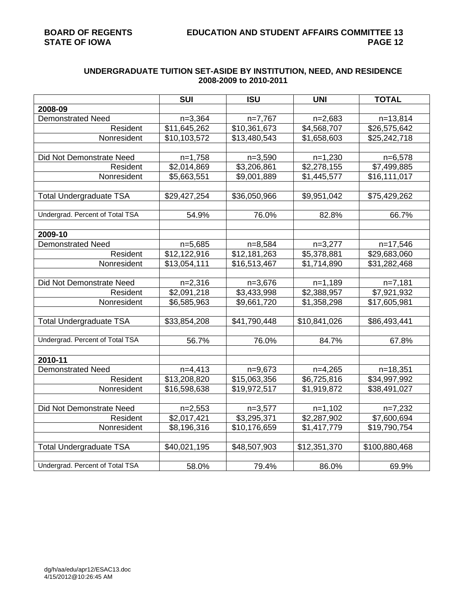# **UNDERGRADUATE TUITION SET-ASIDE BY INSTITUTION, NEED, AND RESIDENCE 2008-2009 to 2010-2011**

|                                 | <b>SUI</b>   | <b>ISU</b>   | <b>UNI</b>   | <b>TOTAL</b>  |
|---------------------------------|--------------|--------------|--------------|---------------|
| 2008-09                         |              |              |              |               |
| <b>Demonstrated Need</b>        | $n=3,364$    | $n=7,767$    | $n=2,683$    | $n=13,814$    |
| Resident                        | \$11,645,262 | \$10,361,673 | \$4,568,707  | \$26,575,642  |
| Nonresident                     | \$10,103,572 | \$13,480,543 | \$1,658,603  | \$25,242,718  |
|                                 |              |              |              |               |
| Did Not Demonstrate Need        | $n=1,758$    | $n=3,590$    | $n=1,230$    | $n=6,578$     |
| Resident                        | \$2,014,869  | \$3,206,861  | \$2,278,155  | \$7,499,885   |
| Nonresident                     | \$5,663,551  | \$9,001,889  | \$1,445,577  | \$16,111,017  |
|                                 |              |              |              |               |
| <b>Total Undergraduate TSA</b>  | \$29,427,254 | \$36,050,966 | \$9,951,042  | \$75,429,262  |
|                                 |              |              |              |               |
| Undergrad. Percent of Total TSA | 54.9%        | 76.0%        | 82.8%        | 66.7%         |
|                                 |              |              |              |               |
| 2009-10                         |              |              |              |               |
| <b>Demonstrated Need</b>        | $n=5,685$    | $n=8,584$    | $n=3,277$    | n=17,546      |
| Resident                        | \$12,122,916 | \$12,181,263 | \$5,378,881  | \$29,683,060  |
| Nonresident                     | \$13,054,111 | \$16,513,467 | \$1,714,890  | \$31,282,468  |
|                                 |              |              |              |               |
| Did Not Demonstrate Need        | $n=2,316$    | $n=3,676$    | $n=1,189$    | $n=7,181$     |
| Resident                        | \$2,091,218  | \$3,433,998  | \$2,388,957  | \$7,921,932   |
| Nonresident                     | \$6,585,963  | \$9,661,720  | \$1,358,298  | \$17,605,981  |
|                                 |              |              |              |               |
| <b>Total Undergraduate TSA</b>  | \$33,854,208 | \$41,790,448 | \$10,841,026 | \$86,493,441  |
|                                 |              |              |              |               |
| Undergrad. Percent of Total TSA | 56.7%        | 76.0%        | 84.7%        | 67.8%         |
|                                 |              |              |              |               |
| 2010-11                         |              |              |              |               |
| <b>Demonstrated Need</b>        | $n=4,413$    | $n=9,673$    | $n=4,265$    | $n=18,351$    |
| Resident                        | \$13,208,820 | \$15,063,356 | \$6,725,816  | \$34,997,992  |
| Nonresident                     | \$16,598,638 | \$19,972,517 | \$1,919,872  | \$38,491,027  |
|                                 |              |              |              |               |
| Did Not Demonstrate Need        | $n=2,553$    | $n=3,577$    | $n=1,102$    | $n=7,232$     |
| Resident                        | \$2,017,421  | \$3,295,371  | \$2,287,902  | \$7,600,694   |
| Nonresident                     | \$8,196,316  | \$10,176,659 | \$1,417,779  | \$19,790,754  |
|                                 |              |              |              |               |
| <b>Total Undergraduate TSA</b>  | \$40,021,195 | \$48,507,903 | \$12,351,370 | \$100,880,468 |
|                                 |              |              |              |               |
| Undergrad. Percent of Total TSA | 58.0%        | 79.4%        | 86.0%        | 69.9%         |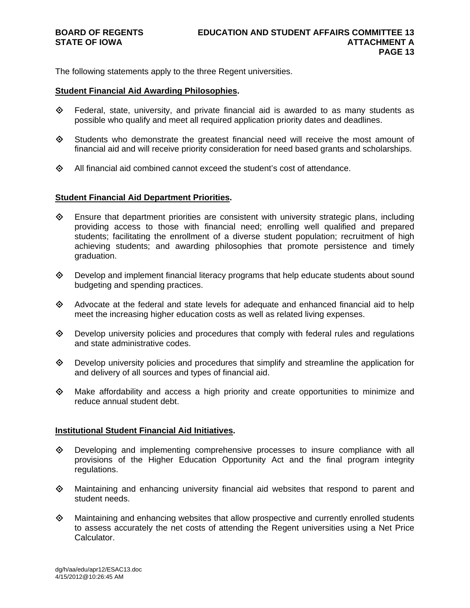The following statements apply to the three Regent universities.

### **Student Financial Aid Awarding Philosophies.**

- $\diamond$  Federal, state, university, and private financial aid is awarded to as many students as possible who qualify and meet all required application priority dates and deadlines.
- Students who demonstrate the greatest financial need will receive the most amount of financial aid and will receive priority consideration for need based grants and scholarships.
- $\diamond$  All financial aid combined cannot exceed the student's cost of attendance.

## **Student Financial Aid Department Priorities.**

- $\diamondsuit$  Ensure that department priorities are consistent with university strategic plans, including providing access to those with financial need; enrolling well qualified and prepared students; facilitating the enrollment of a diverse student population; recruitment of high achieving students; and awarding philosophies that promote persistence and timely graduation.
- $\diamondsuit$  Develop and implement financial literacy programs that help educate students about sound budgeting and spending practices.
- $\diamond$  Advocate at the federal and state levels for adequate and enhanced financial aid to help meet the increasing higher education costs as well as related living expenses.
- $\Diamond$  Develop university policies and procedures that comply with federal rules and regulations and state administrative codes.
- $\Diamond$  Develop university policies and procedures that simplify and streamline the application for and delivery of all sources and types of financial aid.
- $\Diamond$  Make affordability and access a high priority and create opportunities to minimize and reduce annual student debt.

## **Institutional Student Financial Aid Initiatives.**

- Developing and implementing comprehensive processes to insure compliance with all provisions of the Higher Education Opportunity Act and the final program integrity regulations.
- $\Leftrightarrow$  Maintaining and enhancing university financial aid websites that respond to parent and student needs.
- $\Diamond$  Maintaining and enhancing websites that allow prospective and currently enrolled students to assess accurately the net costs of attending the Regent universities using a Net Price Calculator.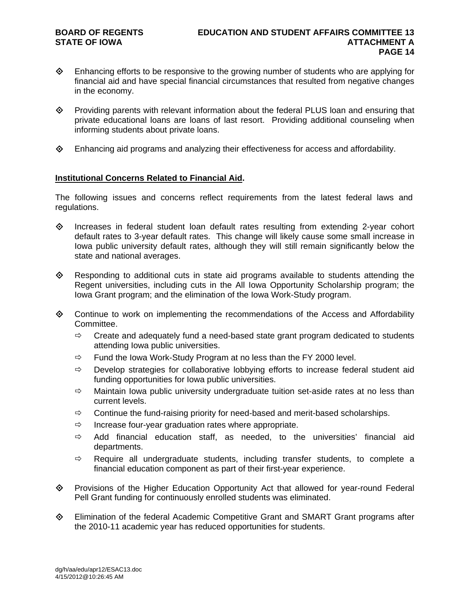- Enhancing efforts to be responsive to the growing number of students who are applying for financial aid and have special financial circumstances that resulted from negative changes in the economy.
- Providing parents with relevant information about the federal PLUS loan and ensuring that private educational loans are loans of last resort. Providing additional counseling when informing students about private loans.
- $\diamond$  Enhancing aid programs and analyzing their effectiveness for access and affordability.

## **Institutional Concerns Related to Financial Aid.**

The following issues and concerns reflect requirements from the latest federal laws and regulations.

- $\diamond$  Increases in federal student loan default rates resulting from extending 2-year cohort default rates to 3-year default rates. This change will likely cause some small increase in Iowa public university default rates, although they will still remain significantly below the state and national averages.
- $\Diamond$  Responding to additional cuts in state aid programs available to students attending the Regent universities, including cuts in the All Iowa Opportunity Scholarship program; the Iowa Grant program; and the elimination of the Iowa Work-Study program.
- Continue to work on implementing the recommendations of the Access and Affordability Committee.
	- $\Rightarrow$  Create and adequately fund a need-based state grant program dedicated to students attending Iowa public universities.
	- $\Rightarrow$  Fund the Iowa Work-Study Program at no less than the FY 2000 level.
	- $\Rightarrow$  Develop strategies for collaborative lobbying efforts to increase federal student aid funding opportunities for Iowa public universities.
	- $\Rightarrow$  Maintain Iowa public university undergraduate tuition set-aside rates at no less than current levels.
	- $\Rightarrow$  Continue the fund-raising priority for need-based and merit-based scholarships.
	- $\Rightarrow$  Increase four-year graduation rates where appropriate.
	- $\Rightarrow$  Add financial education staff, as needed, to the universities' financial aid departments.
	- $\Rightarrow$  Require all undergraduate students, including transfer students, to complete a financial education component as part of their first-year experience.
- Provisions of the Higher Education Opportunity Act that allowed for year-round Federal Pell Grant funding for continuously enrolled students was eliminated.
- Elimination of the federal Academic Competitive Grant and SMART Grant programs after the 2010-11 academic year has reduced opportunities for students.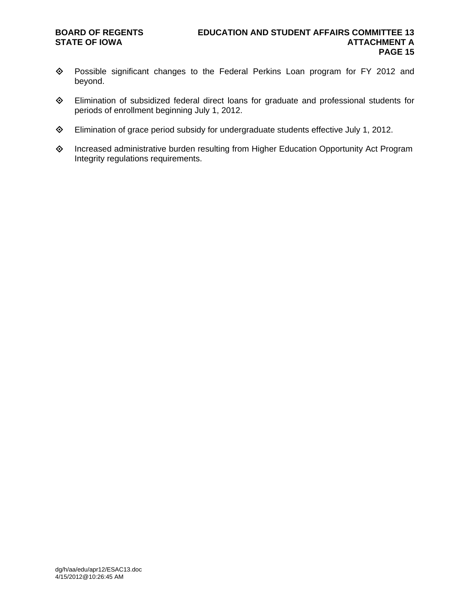- Possible significant changes to the Federal Perkins Loan program for FY 2012 and beyond.
- Elimination of subsidized federal direct loans for graduate and professional students for periods of enrollment beginning July 1, 2012.
- Elimination of grace period subsidy for undergraduate students effective July 1, 2012.
- Increased administrative burden resulting from Higher Education Opportunity Act Program Integrity regulations requirements.